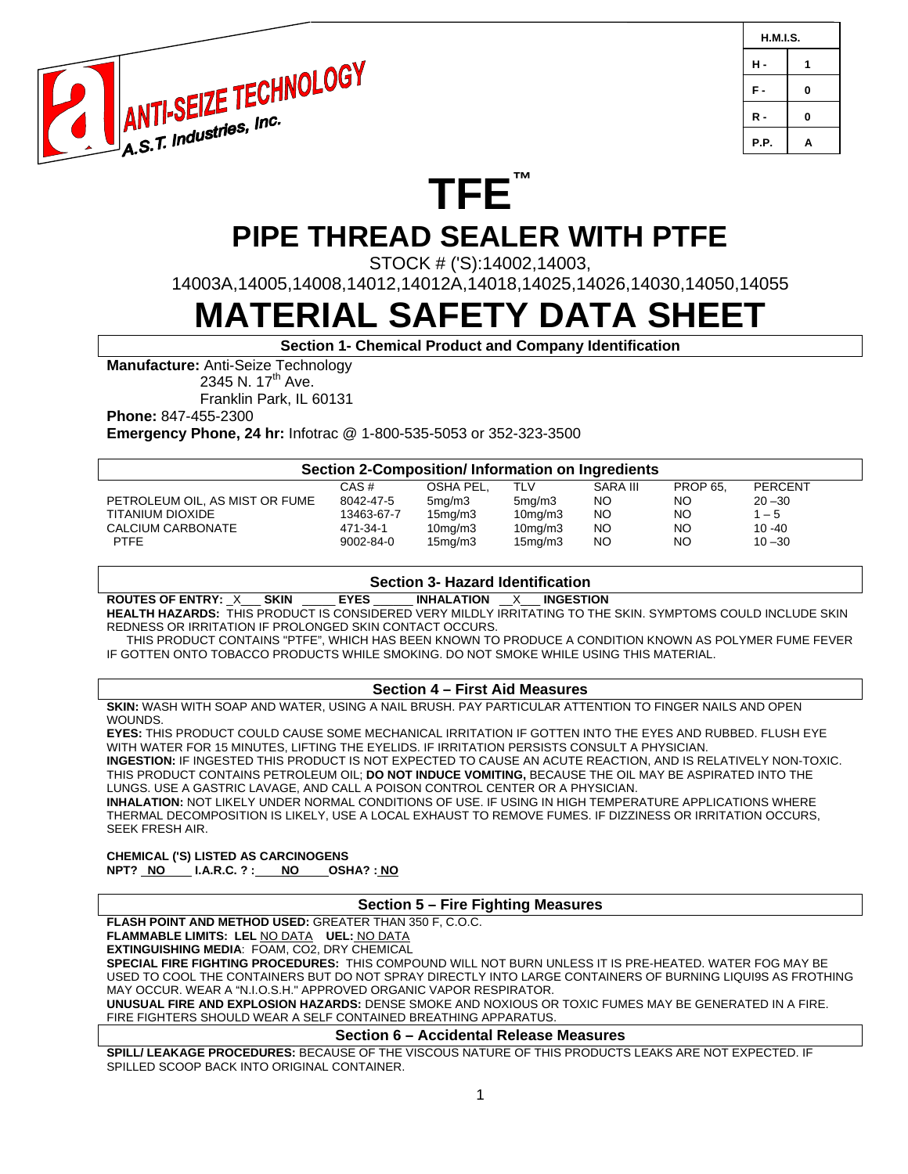

| H.M.I.S. |   |  |
|----------|---|--|
| н.       | 1 |  |
| F.       | 0 |  |
| R -      | 0 |  |
| P.P.     | A |  |

# **TFE™ PIPE THREAD SEALER WITH PTFE**

STOCK # ('S):14002,14003,

14003A,14005,14008,14012,14012A,14018,14025,14026,14030,14050,14055

# **MATERIAL SAFETY DATA SHEET**

**Section 1- Chemical Product and Company Identification** 

**Manufacture:** Anti-Seize Technology

2345 N. 17<sup>th</sup> Ave.

Franklin Park, IL 60131

**Phone:** 847-455-2300

**Emergency Phone, 24 hr:** Infotrac @ 1-800-535-5053 or 352-323-3500

| Section 2-Composition/ Information on Ingredients |            |                      |                      |                 |                 |                |  |  |
|---------------------------------------------------|------------|----------------------|----------------------|-----------------|-----------------|----------------|--|--|
|                                                   | CAS#       | OSHA PEL,            | TLV                  | <b>SARA III</b> | <b>PROP 65.</b> | <b>PERCENT</b> |  |  |
| PETROLEUM OIL, AS MIST OR FUME                    | 8042-47-5  | 5 <sub>mq</sub> /m3  | 5 <sub>mq</sub> /m3  | NO.             | NO.             | $20 - 30$      |  |  |
| TITANIUM DIOXIDE                                  | 13463-67-7 | 15mg/m3              | 10 <sub>mq</sub> /m3 | NO.             | <b>NO</b>       | $1 - 5$        |  |  |
| CALCIUM CARBONATE                                 | 471-34-1   | 10mg/m3              | 10mg/m3              | NO              | <b>NO</b>       | $10 - 40$      |  |  |
| <b>PTFE</b>                                       | 9002-84-0  | 15 <sub>mq</sub> /m3 | 15 <sub>mq</sub> /m3 | NO              | <b>NO</b>       | $10 - 30$      |  |  |

#### **Section 3- Hazard Identification**

**ROUTES OF ENTRY:** \_X\_\_\_ **SKIN** \_\_\_\_\_ **EYES** \_\_\_\_\_\_ **INHALATION** \_\_X\_\_\_ **INGESTION** 

**HEALTH HAZARDS:** THIS PRODUCT IS CONSIDERED VERY MILDLY IRRITATING TO THE SKIN. SYMPTOMS COULD INCLUDE SKIN REDNESS OR IRRITATION IF PROLONGED SKIN CONTACT OCCURS.

 THIS PRODUCT CONTAINS "PTFE", WHICH HAS BEEN KNOWN TO PRODUCE A CONDITION KNOWN AS POLYMER FUME FEVER IF GOTTEN ONTO TOBACCO PRODUCTS WHILE SMOKING. DO NOT SMOKE WHILE USING THIS MATERIAL.

#### **Section 4 – First Aid Measures**

**SKIN:** WASH WITH SOAP AND WATER, USING A NAIL BRUSH. PAY PARTICULAR ATTENTION TO FINGER NAILS AND OPEN WOUNDS.

**EYES:** THIS PRODUCT COULD CAUSE SOME MECHANICAL IRRITATION IF GOTTEN INTO THE EYES AND RUBBED. FLUSH EYE WITH WATER FOR 15 MINUTES, LIFTING THE EYELIDS. IF IRRITATION PERSISTS CONSULT A PHYSICIAN. **INGESTION:** IF INGESTED THIS PRODUCT IS NOT EXPECTED TO CAUSE AN ACUTE REACTION, AND IS RELATIVELY NON-TOXIC. THIS PRODUCT CONTAINS PETROLEUM OIL; **DO NOT INDUCE VOMITING,** BECAUSE THE OIL MAY BE ASPIRATED INTO THE LUNGS. USE A GASTRIC LAVAGE, AND CALL A POISON CONTROL CENTER OR A PHYSICIAN. **INHALATION:** NOT LIKELY UNDER NORMAL CONDITIONS OF USE. IF USING IN HIGH TEMPERATURE APPLICATIONS WHERE THERMAL DECOMPOSITION IS LIKELY, USE A LOCAL EXHAUST TO REMOVE FUMES. IF DIZZINESS OR IRRITATION OCCURS, SEEK FRESH AIR.

**CHEMICAL ('S) LISTED AS CARCINOGENS NPT? NO I.A.R.C. ? : NO OSHA? : NO**

#### **Section 5 – Fire Fighting Measures**

#### **FLASH POINT AND METHOD USED:** GREATER THAN 350 F, C.O.C.

**FLAMMABLE LIMITS: LEL** NO DATA **UEL:** NO DATA

**EXTINGUISHING MEDIA**: FOAM, CO2, DRY CHEMICAL

**SPECIAL FIRE FIGHTING PROCEDURES:** THIS COMPOUND WILL NOT BURN UNLESS IT IS PRE-HEATED. WATER FOG MAY BE USED TO COOL THE CONTAINERS BUT DO NOT SPRAY DIRECTLY INTO LARGE CONTAINERS OF BURNING LIQUI9S AS FROTHING MAY OCCUR. WEAR A "N.I.O.S.H." APPROVED ORGANIC VAPOR RESPIRATOR.

**UNUSUAL FIRE AND EXPLOSION HAZARDS:** DENSE SMOKE AND NOXIOUS OR TOXIC FUMES MAY BE GENERATED IN A FIRE. FIRE FIGHTERS SHOULD WEAR A SELF CONTAINED BREATHING APPARATUS.

#### **Section 6 – Accidental Release Measures**

**SPILL/ LEAKAGE PROCEDURES:** BECAUSE OF THE VISCOUS NATURE OF THIS PRODUCTS LEAKS ARE NOT EXPECTED. IF SPILLED SCOOP BACK INTO ORIGINAL CONTAINER.